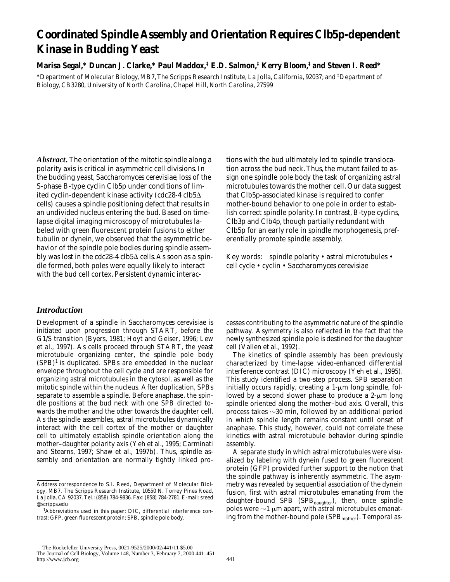# **Coordinated Spindle Assembly and Orientation Requires Clb5p-dependent Kinase in Budding Yeast**

## **Marisa Segal,\* Duncan J. Clarke,\* Paul Maddox,‡ E.D. Salmon,‡ Kerry Bloom,‡ and Steven I. Reed\***

\*Department of Molecular Biology, MB7, The Scripps Research Institute, La Jolla, California, 92037; and ‡ Department of Biology, CB3280, University of North Carolina, Chapel Hill, North Carolina, 27599

*Abstract.* The orientation of the mitotic spindle along a polarity axis is critical in asymmetric cell divisions. In the budding yeast, *Saccharomyces cerevisiae*, loss of the S-phase B-type cyclin Clb5p under conditions of limited cyclin-dependent kinase activity (*cdc28-4 clb5*D cells) causes a spindle positioning defect that results in an undivided nucleus entering the bud. Based on timelapse digital imaging microscopy of microtubules labeled with green fluorescent protein fusions to either tubulin or dynein, we observed that the asymmetric behavior of the spindle pole bodies during spindle assembly was lost in the  $cdc28-4 \, cb5\Delta$  cells. As soon as a spindle formed, both poles were equally likely to interact with the bud cell cortex. Persistent dynamic interac-

## *Introduction*

Development of a spindle in *Saccharomyces cerevisiae* is initiated upon progression through START, before the G1/S transition (Byers, 1981; Hoyt and Geiser, 1996; Lew et al., 1997). As cells proceed through START, the yeast microtubule organizing center, the spindle pole body  $(SPB)^1$  is duplicated. SPBs are embedded in the nuclear envelope throughout the cell cycle and are responsible for organizing astral microtubules in the cytosol, as well as the mitotic spindle within the nucleus. After duplication, SPBs separate to assemble a spindle. Before anaphase, the spindle positions at the bud neck with one SPB directed towards the mother and the other towards the daughter cell. As the spindle assembles, astral microtubules dynamically interact with the cell cortex of the mother or daughter cell to ultimately establish spindle orientation along the mother–daughter polarity axis (Yeh et al., 1995; Carminati and Stearns, 1997; Shaw et al., 1997b). Thus, spindle assembly and orientation are normally tightly linked protions with the bud ultimately led to spindle translocation across the bud neck. Thus, the mutant failed to assign one spindle pole body the task of organizing astral microtubules towards the mother cell. Our data suggest that Clb5p-associated kinase is required to confer mother-bound behavior to one pole in order to establish correct spindle polarity. In contrast, B-type cyclins, Clb3p and Clb4p, though partially redundant with Clb5p for an early role in spindle morphogenesis, preferentially promote spindle assembly.

Key words: spindle polarity • astral microtubules • cell cycle • cyclin • *Saccharomyces cerevisiae*

cesses contributing to the asymmetric nature of the spindle pathway. Asymmetry is also reflected in the fact that the newly synthesized spindle pole is destined for the daughter cell (Vallen et al., 1992).

The kinetics of spindle assembly has been previously characterized by time-lapse video-enhanced differential interference contrast (DIC) microscopy (Yeh et al., 1995). This study identified a two-step process. SPB separation initially occurs rapidly, creating a  $1-\mu m$  long spindle, followed by a second slower phase to produce a  $2-\mu m$  long spindle oriented along the mother–bud axis. Overall, this process takes  $\sim$ 30 min, followed by an additional period in which spindle length remains constant until onset of anaphase. This study, however, could not correlate these kinetics with astral microtubule behavior during spindle assembly.

A separate study in which astral microtubules were visualized by labeling with dynein fused to green fluorescent protein (GFP) provided further support to the notion that the spindle pathway is inherently asymmetric. The asymmetry was revealed by sequential association of the dynein fusion, first with astral microtubules emanating from the daughter-bound SPB (SPB<sub>daughter</sub>), then, once spindle poles were  $\sim$ 1  $\mu$ m apart, with astral microtubules emanating from the mother-bound pole (SPB<sub>mother</sub>). Temporal as-

Address correspondence to S.I. Reed, Department of Molecular Biology, MB7, The Scripps Research Institute, 10550 N. Torrey Pines Road, La Jolla, CA 92037. Tel.: (858) 784-9836. Fax: (858) 784-2781. E-mail: sreed @scripps.edu

<sup>1</sup> *Abbreviations used in this paper:* DIC, differential interference contrast; GFP, green fluorescent protein; SPB, spindle pole body.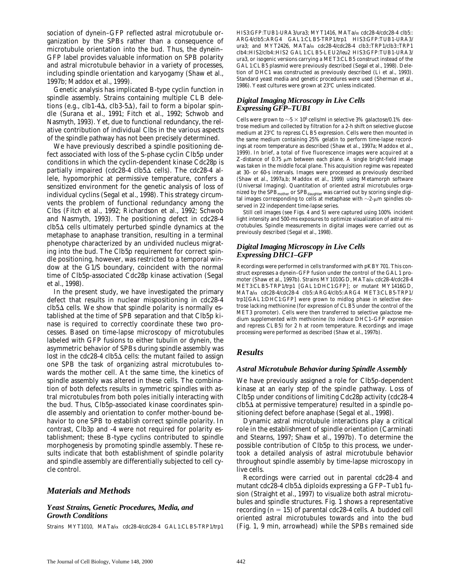sociation of dynein–GFP reflected astral microtubule organization by the SPBs rather than a consequence of microtubule orientation into the bud. Thus, the dynein– GFP label provides valuable information on SPB polarity and astral microtubule behavior in a variety of processes, including spindle orientation and karyogamy (Shaw et al., 1997b; Maddox et al., 1999).

Genetic analysis has implicated B-type cyclin function in spindle assembly. Strains containing multiple *CLB* deletions (e.g.,  $clb1-4\Delta$ , clb3-5 $\Delta$ ), fail to form a bipolar spindle (Surana et al., 1991; Fitch et al., 1992; Schwob and Nasmyth, 1993). Yet, due to functional redundancy, the relative contribution of individual Clbs in the various aspects of the spindle pathway has not been precisely determined.

We have previously described a spindle positioning defect associated with loss of the S-phase cyclin Clb5p under conditions in which the cyclin-dependent kinase Cdc28p is partially impaired (*cdc28-4 clb5*D cells). The *cdc28-4* allele, hypomorphic at permissive temperature, confers a sensitized environment for the genetic analysis of loss of individual cyclins (Segal et al., 1998). This strategy circumvents the problem of functional redundancy among the Clbs (Fitch et al., 1992; Richardson et al., 1992; Schwob and Nasmyth, 1993). The positioning defect in *cdc28-4*  $clb5\Delta$  cells ultimately perturbed spindle dynamics at the metaphase to anaphase transition, resulting in a terminal phenotype characterized by an undivided nucleus migrating into the bud. The Clb5p requirement for correct spindle positioning, however, was restricted to a temporal window at the G1/S boundary, coincident with the normal time of Clb5p-associated Cdc28p kinase activation (Segal et al., 1998).

In the present study, we have investigated the primary defect that results in nuclear mispositioning in *cdc28-4*  $\mathit{clb5}\Delta$  cells. We show that spindle polarity is normally established at the time of SPB separation and that Clb5p kinase is required to correctly coordinate these two processes. Based on time-lapse microscopy of microtubules labeled with GFP fusions to either tubulin or dynein, the asymmetric behavior of SPBs during spindle assembly was lost in the *cdc28-4 clb5*∆ cells: the mutant failed to assign one SPB the task of organizing astral microtubules towards the mother cell. At the same time, the kinetics of spindle assembly was altered in these cells. The combination of both defects results in symmetric spindles with astral microtubules from both poles initially interacting with the bud. Thus, Clb5p-associated kinase coordinates spindle assembly and orientation to confer mother-bound behavior to one SPB to establish correct spindle polarity. In contrast, Clb3p and -4 were not required for polarity establishment; these B-type cyclins contributed to spindle morphogenesis by promoting spindle assembly. These results indicate that both establishment of spindle polarity and spindle assembly are differentially subjected to cell cycle control.

## *Materials and Methods*

#### *Yeast Strains, Genetic Procedures, Media, and Growth Conditions*

Strains MYT1010, *MATa/*a *cdc28-4/cdc28-4 GAL1:CLB5-TRP1/trp1*

*HIS3:GFP:TUB1*-*URA3/ura3*; MYT1416, *MATa/*a *cdc28-4/cdc28-4 clb5:: ARG4/clb5::ARG4 GAL1:CLB5-TRP1/trp1 HIS3:GFP:TUB1-URA3/ ura3;* and MYT2426, *MATa/*a *cdc28-4/cdc28-4 clb3::TRP1/clb3::TRP1 clb4::HIS2/clb4::HIS2 GAL1:CLB5-LEU2/leu2 HIS3:GFP:TUB1-URA3/ ura3*, or isogenic versions carrying a *MET3:CLB5* construct instead of the *GAL1:CLB5* plasmid were previously described (Segal et al., 1998). Deletion of *DHC1* was constructed as previously described (Li et al., 1993). Standard yeast media and genetic procedures were used (Sherman et al., 1986). Yeast cultures were grown at  $23^{\circ}$ C unless indicated.

## *Digital Imaging Microscopy in Live Cells Expressing GFP–TUB1*

Cells were grown to  ${\sim}5 \times 10^6$  cells/ml in selective 3% galactose/0.1% dextrose medium and collected by filtration for a 2-h shift on selective glucose medium at 23°C to repress *CLB5* expression. Cells were then mounted in the same medium containing 25% gelatin to perform time-lapse recordings at room temperature as described (Shaw et al., 1997a; Maddox et al., 1999). In brief, a total of five fluorescence images were acquired at a Z-distance of 0.75  $\mu$ m between each plane. A single bright-field image was taken in the middle focal plane. This acquisition regime was repeated at 30- or 60-s intervals. Images were processed as previously described (Shaw et al., 1997a,b; Maddox et al., 1999) using Metamorph software (Universal Imaging). Quantitation of oriented astral microtubules organized by the  ${\rm SPB}_{\rm mother}$  or  ${\rm SPB}_{\rm daughter}$  was carried out by scoring single digital images corresponding to cells at metaphase with  $\sim$ 2- $\upmu$ m spindles observed in 22 independent time-lapse series.

Still cell images (see Figs. 4 and 5) were captured using 100% incident light intensity and 500-ms exposures to optimize visualization of astral microtubules. Spindle measurements in digital images were carried out as previously described (Segal et al., 1998).

## *Digital Imaging Microscopy in Live Cells Expressing DHC1–GFP*

Recordings were performed in cells transformed with pKBY701. This construct expresses a dynein–GFP fusion under the control of the *GAL1* promoter (Shaw et al., 1997b). Strains MY1010GD, *MATa/*a *cdc28-4/cdc28-4 MET3:CLB5-TRP1/trp1 [GAL1:DHC1:GFP]*; or mutant MY1416GD, *MATa/*a *cdc28-4/cdc28-4 clb5::ARG4/clb5::ARG4 MET3:CLB5-TRP1/ trp1[GAL1:DHC1:GFP]* were grown to midlog phase in selective dextrose lacking methionine (for expression of *CLB5* under the control of the *MET3* promoter). Cells were then transferred to selective galactose medium supplemented with methionine (to induce *DHC1–GFP* expression and repress *CLB5*) for 2 h at room temperature. Recordings and image processing were performed as described (Shaw et al., 1997b).

## *Results*

## *Astral Microtubule Behavior during Spindle Assembly*

We have previously assigned a role for Clb5p-dependent kinase at an early step of the spindle pathway. Loss of Clb5p under conditions of limiting Cdc28p activity (*cdc28-4*  $\mathit{clb5}\Delta$  at permissive temperature) resulted in a spindle positioning defect before anaphase (Segal et al., 1998).

Dynamic astral microtubule interactions play a critical role in the establishment of spindle orientation (Carminati and Stearns, 1997; Shaw et al., 1997b). To determine the possible contribution of Clb5p to this process, we undertook a detailed analysis of astral microtubule behavior throughout spindle assembly by time-lapse microscopy in live cells.

Recordings were carried out in parental *cdc28-4* and mutant *cdc28-4 clb5*D diploids expressing a GFP–Tub1 fusion (Straight et al., 1997) to visualize both astral microtubules and spindle structures. Fig. 1 shows a representative recording  $(n = 15)$  of parental  $cdc28-4$  cells. A budded cell oriented astral microtubules towards and into the bud (Fig. 1, 9 min, arrowhead) while the SPBs remained side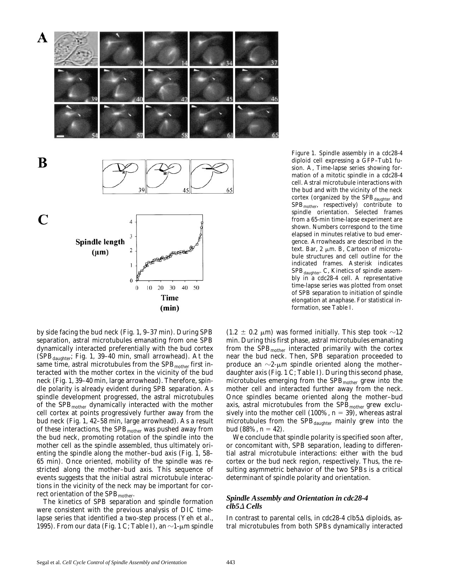

*Figure 1.* Spindle assembly in a *cdc28-4* diploid cell expressing a GFP–Tub1 fusion. A, Time-lapse series showing formation of a mitotic spindle in a *cdc28-4* cell. Astral microtubule interactions with the bud and with the vicinity of the neck cortex (organized by the  $SPB_{doubter}$  and  $SPB<sub>mother</sub>$ , respectively) contribute to spindle orientation. Selected frames from a 65-min time-lapse experiment are shown. Numbers correspond to the time elapsed in minutes relative to bud emergence. Arrowheads are described in the text. Bar, 2  $\mu$ m. B, Cartoon of microtubule structures and cell outline for the indicated frames. Asterisk indicates  $SPB_{dauge}$ . C, Kinetics of spindle assembly in a *cdc28-4* cell. A representative time-lapse series was plotted from onset of SPB separation to initiation of spindle elongation at anaphase. For statistical information, see Table I.

by side facing the bud neck (Fig. 1, 9–37 min). During SPB separation, astral microtubules emanating from one SPB dynamically interacted preferentially with the bud cortex  $(SPB_{daughter};$  Fig. 1, 39–40 min, small arrowhead). At the same time, astral microtubules from the  $SPB<sub>mother</sub>$  first interacted with the mother cortex in the vicinity of the bud neck (Fig. 1, 39–40 min, large arrowhead). Therefore, spindle polarity is already evident during SPB separation. As spindle development progressed, the astral microtubules of the SPB<sub>mother</sub> dynamically interacted with the mother cell cortex at points progressively further away from the bud neck (Fig. 1, 42–58 min, large arrowhead). As a result of these interactions, the SPB<sub>mother</sub> was pushed away from the bud neck, promoting rotation of the spindle into the mother cell as the spindle assembled, thus ultimately orienting the spindle along the mother–bud axis (Fig. 1, 58– 65 min). Once oriented, mobility of the spindle was restricted along the mother–bud axis. This sequence of events suggests that the initial astral microtubule interactions in the vicinity of the neck may be important for correct orientation of the SPB<sub>mother</sub>.

The kinetics of SPB separation and spindle formation were consistent with the previous analysis of DIC timelapse series that identified a two-step process (Yeh et al., 1995). From our data (Fig. 1 C; Table I), an  $\sim$ 1-µm spindle  $(1.2 \pm 0.2 \mu m)$  was formed initially. This step took  $\sim 12$ min. During this first phase, astral microtubules emanating from the SPB<sub>mother</sub> interacted primarily with the cortex near the bud neck. Then, SPB separation proceeded to produce an  $\sim$ 2- $\mu$ m spindle oriented along the mother– daughter axis (Fig. 1 C; Table I). During this second phase, microtubules emerging from the  $SPB<sub>mother</sub>$  grew into the mother cell and interacted further away from the neck. Once spindles became oriented along the mother–bud axis, astral microtubules from the  $SPB<sub>mother</sub>$  grew exclusively into the mother cell  $(100\%, n = 39)$ , whereas astral microtubules from the SPB<sub>daughter</sub> mainly grew into the  $bud (88\%, n = 42).$ 

We conclude that spindle polarity is specified soon after, or concomitant with, SPB separation, leading to differential astral microtubule interactions: either with the bud cortex or the bud neck region, respectively. Thus, the resulting asymmetric behavior of the two SPBs is a critical determinant of spindle polarity and orientation.

#### *Spindle Assembly and Orientation in cdc28-4 clb5*D *Cells*

In contrast to parental cells, in *cdc28-4 clb5*D diploids, astral microtubules from both SPBs dynamically interacted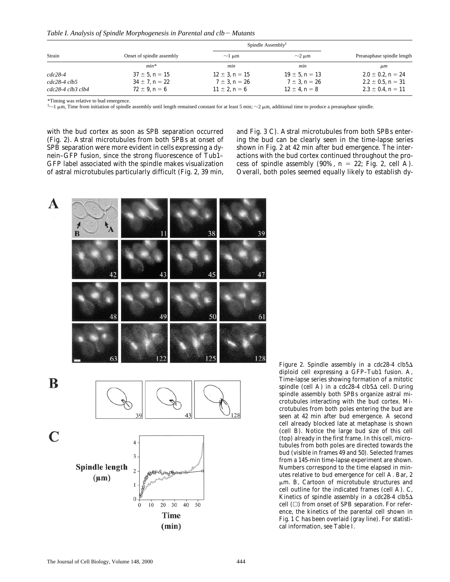Table I. Analysis of Spindle Morphogenesis in Parental and clb – Mutants

| Strain                  |                           | Spindle Assembly <sup><math>\ddagger</math></sup> |                       |                            |
|-------------------------|---------------------------|---------------------------------------------------|-----------------------|----------------------------|
|                         | Onset of spindle assembly | $\sim$ 1 µm                                       | $\sim$ 2 µm           | Preanaphase spindle length |
|                         | $min*$                    | min                                               | mın                   | $\mu$ m                    |
| $cdc28-4$               | $37 \pm 5$ , $n = 15$     | $12 \pm 3$ , $n = 15$                             | $19 \pm 5$ , $n = 13$ | $2.0 \pm 0.2$ , $n = 24$   |
| $cdc28-4\,clb5$         | $34 \pm 7$ , $n = 22$     | $7 \pm 3$ , $n = 26$                              | $7 \pm 3$ , $n = 26$  | $2.2 \pm 0.5$ , $n = 31$   |
| $cdc28-4 \; cb3 \; cb4$ | $72 \pm 9$ , $n = 6$      | $11 \pm 2$ , $n = 6$                              | $12 \pm 4$ , $n = 8$  | $2.3 \pm 0.4$ , $n = 11$   |

\*Timing was relative to bud emergence.

 $\dagger$   $\sim$  1  $\mu$ m, Time from initiation of spindle assembly until length remained constant for at least 5 min;  $\sim$  2  $\mu$ m, additional time to produce a preanaphase spindle.

with the bud cortex as soon as SPB separation occurred (Fig. 2). Astral microtubules from both SPBs at onset of SPB separation were more evident in cells expressing a dynein–GFP fusion, since the strong fluorescence of Tub1– GFP label associated with the spindle makes visualization of astral microtubules particularly difficult (Fig. 2, 39 min,

and Fig. 3 C). Astral microtubules from both SPBs entering the bud can be clearly seen in the time-lapse series shown in Fig. 2 at 42 min after bud emergence. The interactions with the bud cortex continued throughout the process of spindle assembly  $(90\%, n = 22;$  Fig. 2, cell A). Overall, both poles seemed equally likely to establish dy-



*Figure 2.* Spindle assembly in a  $cdc28-4$   $clb5\Delta$ diploid cell expressing a GFP–Tub1 fusion. A, Time-lapse series showing formation of a mitotic spindle (cell A) in a *cdc28-4 clb5* $\Delta$  cell. During spindle assembly both SPBs organize astral microtubules interacting with the bud cortex. Microtubules from both poles entering the bud are seen at 42 min after bud emergence. A second cell already blocked late at metaphase is shown (cell B). Notice the large bud size of this cell (top) already in the first frame. In this cell, microtubules from both poles are directed towards the bud (visible in frames 49 and 50). Selected frames from a 145-min time-lapse experiment are shown. Numbers correspond to the time elapsed in minutes relative to bud emergence for cell A. Bar, 2  $\mu$ m. B, Cartoon of microtubule structures and cell outline for the indicated frames (cell A). C, Kinetics of spindle assembly in a *cdc28-4 clb5* $\Delta$ cell  $(\Box)$  from onset of SPB separation. For reference, the kinetics of the parental cell shown in Fig. 1 C has been overlaid (gray line). For statistical information, see Table I.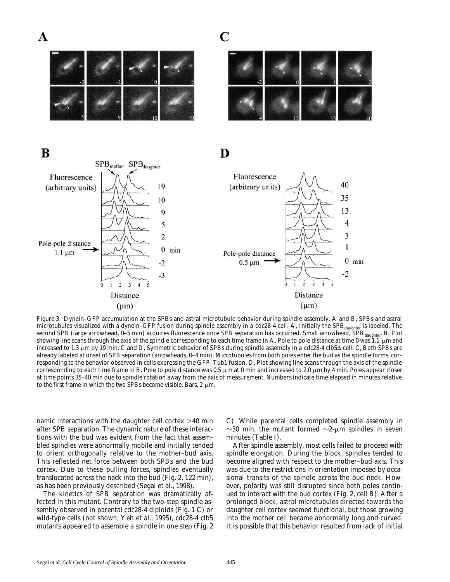C







*Figure 3.* Dynein–GFP accumulation at the SPBs and astral microtubule behavior during spindle assembly. A and B, SPBs and astral microtubules visualized with a dynein-GFP fusion during spindle assembly in a cdc28-4 cell. A, Initially the SPB<sub>daughter</sub> is labeled. The second SPB (large arrowhead, 0–5 min) acquires fluorescence once SPB separation has occurred. Small arrowhead, SPB daughter. B, Plot showing line scans through the axis of the spindle corresponding to each time frame in A. Pole to pole distance at time 0 was 1.1  $\mu$ m and increased to 1.3 μm by 19 min. C and D, Symmetric behavior of SPBs during spindle assembly in a *cdc28-4 clb5*Δ cell. C, Both SPBs are already labeled at onset of SPB separation (arrowheads, 0–4 min). Microtubules from both poles enter the bud as the spindle forms, corresponding to the behavior observed in cells expressing the GFP–Tub1 fusion. D, Plot showing line scans through the axis of the spindle corresponding to each time frame in B. Pole to pole distance was 0.5  $\mu$ m at 0 min and increased to 2.0  $\mu$ m by 4 min. Poles appear closer at time points 35–40 min due to spindle rotation away from the axis of measurement. Numbers indicate time elapsed in minutes relative to the first frame in which the two SPBs become visible. Bars, 2  $\mu$ m.

namic interactions with the daughter cell cortex  $>40$  min after SPB separation. The dynamic nature of these interactions with the bud was evident from the fact that assembled spindles were abnormally mobile and initially tended to orient orthogonally relative to the mother–bud axis. This reflected net force between both SPBs and the bud cortex. Due to these pulling forces, spindles eventually translocated across the neck into the bud (Fig. 2, 122 min), as has been previously described (Segal et al., 1998).

The kinetics of SPB separation was dramatically affected in this mutant. Contrary to the two-step spindle assembly observed in parental *cdc28-4* diploids (Fig. 1 C) or wild-type cells (not shown; Yeh et al., 1995), *cdc28-4 clb5* mutants appeared to assemble a spindle in one step (Fig. 2 C). While parental cells completed spindle assembly in  $\sim$ 30 min, the mutant formed  $\sim$ 2-µm spindles in seven minutes (Table I).

After spindle assembly, most cells failed to proceed with spindle elongation. During the block, spindles tended to become aligned with respect to the mother–bud axis. This was due to the restrictions in orientation imposed by occasional transits of the spindle across the bud neck. However, polarity was still disrupted since both poles continued to interact with the bud cortex (Fig. 2, cell B). After a prolonged block, astral microtubules directed towards the daughter cell cortex seemed functional, but those growing into the mother cell became abnormally long and curved. It is possible that this behavior resulted from lack of initial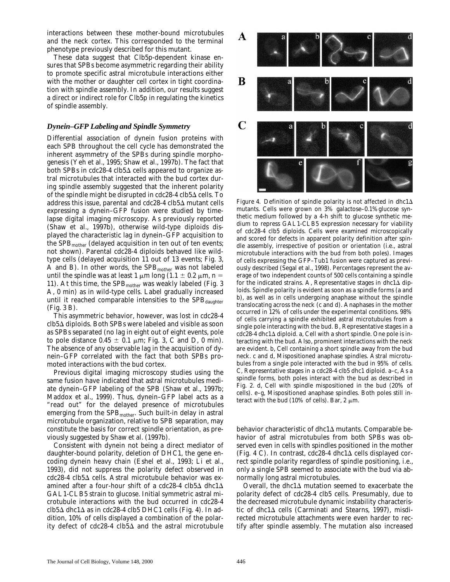interactions between these mother-bound microtubules and the neck cortex. This corresponded to the terminal phenotype previously described for this mutant.

These data suggest that Clb5p-dependent kinase ensures that SPBs become asymmetric regarding their ability to promote specific astral microtubule interactions either with the mother or daughter cell cortex in tight coordination with spindle assembly. In addition, our results suggest a direct or indirect role for Clb5p in regulating the kinetics of spindle assembly.

#### *Dynein–GFP Labeling and Spindle Symmetry*

Differential association of dynein fusion proteins with each SPB throughout the cell cycle has demonstrated the inherent asymmetry of the SPBs during spindle morphogenesis (Yeh et al., 1995; Shaw et al., 1997b). The fact that both SPBs in *cdc28-4 clb5* $\Delta$  cells appeared to organize astral microtubules that interacted with the bud cortex during spindle assembly suggested that the inherent polarity of the spindle might be disrupted in *cdc28-4 clb5*D cells. To address this issue, parental and *cdc28-4 clb5*D mutant cells expressing a dynein–GFP fusion were studied by timelapse digital imaging microscopy. As previously reported (Shaw et al., 1997b), otherwise wild-type diploids displayed the characteristic lag in dynein–GFP acquisition to the SPB<sub>mother</sub> (delayed acquisition in ten out of ten events; not shown). Parental *cdc28-4* diploids behaved like wildtype cells (delayed acquisition 11 out of 13 events; Fig. 3, A and B). In other words, the  $SPB<sub>mother</sub>$  was not labeled until the spindle was at least 1  $\mu$ m long (1.1  $\pm$  0.2  $\mu$ m, *n* = 11). At this time, the  $SPB<sub>mother</sub>$  was weakly labeled (Fig. 3 A, 0 min) as in wild-type cells. Label gradually increased until it reached comparable intensities to the SPB<sub>daughter</sub> (Fig. 3 B).

This asymmetric behavior, however, was lost in *cdc28-4 clb5*D diploids. Both SPBs were labeled and visible as soon as SPBs separated (no lag in eight out of eight events, pole to pole distance  $0.45 \pm 0.1$  µm; Fig. 3, C and D, 0 min). The absence of any observable lag in the acquisition of dynein–GFP correlated with the fact that both SPBs promoted interactions with the bud cortex.

Previous digital imaging microscopy studies using the same fusion have indicated that astral microtubules mediate dynein–GFP labeling of the SPB (Shaw et al., 1997b; Maddox et al., 1999). Thus, dynein–GFP label acts as a "read out" for the delayed presence of microtubules emerging from the  $SPB<sub>mother</sub>$ . Such built-in delay in astral microtubule organization, relative to SPB separation, may constitute the basis for correct spindle orientation, as previously suggested by Shaw et al. (1997b).

Consistent with dynein not being a direct mediator of daughter-bound polarity, deletion of *DHC1*, the gene encoding dynein heavy chain (Eshel et al., 1993; Li et al., 1993), did not suppress the polarity defect observed in *cdc28-4 clb5*D cells. Astral microtubule behavior was examined after a four-hour shift of a *cdc28-4 clb5* $\triangle$  *dhc1* $\triangle$ *GAL1-CLB5* strain to glucose. Initial symmetric astral microtubule interactions with the bud occurred in *cdc28-4*  $clb5\Delta$  *dhc1* $\Delta$  as in *cdc28-4 clb5 DHC1* cells (Fig. 4). In addition, 10% of cells displayed a combination of the polarity defect of *cdc28-4 clb5*D and the astral microtubule



*Figure 4.* Definition of spindle polarity is not affected in  $dhc1\Delta$ mutants. Cells were grown on 3% galactose–0.1%glucose synthetic medium followed by a 4-h shift to glucose synthetic medium to repress *GAL1*-*CLB5* expression necessary for viability of *cdc28-4 clb5* diploids. Cells were examined microscopically and scored for defects in apparent polarity definition after spindle assembly, irrespective of position or orientation (i.e., astral microtubule interactions with the bud from both poles). Images of cells expressing the GFP–Tub1 fusion were captured as previously described (Segal et al., 1998). Percentages represent the average of two independent counts of 500 cells containing a spindle for the indicated strains. A, Representative stages in *dhc1*A diploids. Spindle polarity is evident as soon as a spindle forms (a and b), as well as in cells undergoing anaphase without the spindle translocating across the neck (c and d). Anaphases in the mother occurred in 12% of cells under the experimental conditions. 98% of cells carrying a spindle exhibited astral microtubules from a single pole interacting with the bud. B, Representative stages in a *cdc28-4 dhc1*D diploid. a, Cell with a short spindle. One pole is interacting with the bud. Also, prominent interactions with the neck are evident. b, Cell containing a short spindle away from the bud neck. c and d, Mispositioned anaphase spindles. Astral microtubules from a single pole interacted with the bud in 95% of cells. C, Representative stages in a *cdc28-4 clb5 dhc1* diploid. a–c, As a spindle forms, both poles interact with the bud as described in Fig. 2. d, Cell with spindle mispositioned in the bud (20% of cells). e–g, Mispositioned anaphase spindles. Both poles still interact with the bud (10% of cells). Bar, 2  $\mu$ m.

behavior characteristic of *dhc1*D mutants. Comparable behavior of astral microtubules from both SPBs was observed even in cells with spindles positioned in the mother (Fig. 4 C). In contrast,  $cdc28-4$  dhc1 $\Delta$  cells displayed correct spindle polarity regardless of spindle positioning, i.e., only a single SPB seemed to associate with the bud via abnormally long astral microtubules.

Overall, the  $dhc1\Delta$  mutation seemed to exacerbate the polarity defect of *cdc28-4 clb5* cells. Presumably, due to the decreased microtubule dynamic instability characteristic of *dhc1* $\Delta$  cells (Carminati and Stearns, 1997), misdirected microtubule attachments were even harder to rectify after spindle assembly. The mutation also increased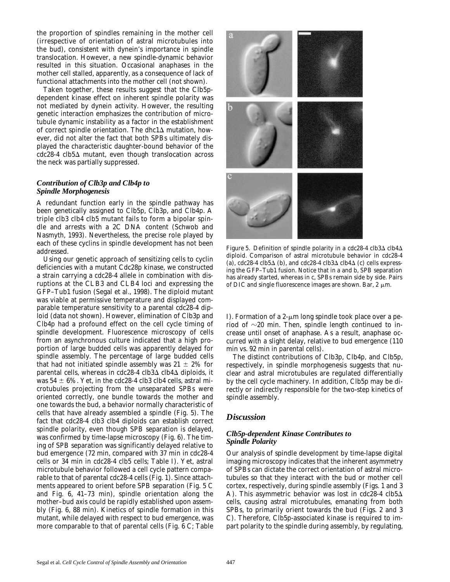the proportion of spindles remaining in the mother cell (irrespective of orientation of astral microtubules into the bud), consistent with dynein's importance in spindle translocation. However, a new spindle-dynamic behavior resulted in this situation. Occasional anaphases in the mother cell stalled, apparently, as a consequence of lack of functional attachments into the mother cell (not shown).

Taken together, these results suggest that the Clb5pdependent kinase effect on inherent spindle polarity was not mediated by dynein activity. However, the resulting genetic interaction emphasizes the contribution of microtubule dynamic instability as a factor in the establishment of correct spindle orientation. The *dhc1* $\Delta$  mutation, however, did not alter the fact that both SPBs ultimately displayed the characteristic daughter-bound behavior of the *cdc28-4 clb5*D mutant, even though translocation across the neck was partially suppressed.

#### *Contribution of Clb3p and Clb4p to Spindle Morphogenesis*

A redundant function early in the spindle pathway has been genetically assigned to Clb5p, Clb3p, and Clb4p. A triple *clb3 clb4 clb5* mutant fails to form a bipolar spindle and arrests with a 2C DNA content (Schwob and Nasmyth, 1993). Nevertheless, the precise role played by each of these cyclins in spindle development has not been addressed.

Using our genetic approach of sensitizing cells to cyclin deficiencies with a mutant Cdc28p kinase, we constructed a strain carrying a *cdc28-4* allele in combination with disruptions at the *CLB3* and *CLB4* loci and expressing the GFP–Tub1 fusion (Segal et al., 1998). The diploid mutant was viable at permissive temperature and displayed comparable temperature sensitivity to a parental *cdc28-4* diploid (data not shown). However, elimination of Clb3p and Clb4p had a profound effect on the cell cycle timing of spindle development. Fluorescence microscopy of cells from an asynchronous culture indicated that a high proportion of large budded cells was apparently delayed for spindle assembly. The percentage of large budded cells that had not initiated spindle assembly was  $21 \pm 2\%$  for parental cells, whereas in *cdc28-4 clb3*∆ *clb4*∆ diploids, it was  $54 \pm 6\%$ . Yet, in the *cdc28-4 clb3 clb4* cells, astral microtubules projecting from the unseparated SPBs were oriented correctly, one bundle towards the mother and one towards the bud, a behavior normally characteristic of cells that have already assembled a spindle (Fig. 5). The fact that *cdc28-4 clb3 clb4* diploids can establish correct spindle polarity, even though SPB separation is delayed, was confirmed by time-lapse microscopy (Fig. 6). The timing of SPB separation was significantly delayed relative to bud emergence (72 min, compared with 37 min in *cdc28-4* cells or 34 min in *cdc28-4 clb5* cells; Table I). Yet, astral microtubule behavior followed a cell cycle pattern comparable to that of parental *cdc28-4* cells (Fig. 1). Since attachments appeared to orient before SPB separation (Fig. 5 C and Fig. 6, 41–73 min), spindle orientation along the mother–bud axis could be rapidly established upon assembly (Fig. 6, 88 min). Kinetics of spindle formation in this mutant, while delayed with respect to bud emergence, was more comparable to that of parental cells (Fig. 6 C; Table



*Figure 5.* Definition of spindle polarity in a  $cdc28-4 \text{ clb}3\Delta \text{ clb}4\Delta$ diploid. Comparison of astral microtubule behavior in *cdc28-4* (a),  $cdc28-4 \text{ clb}5\Delta$  (b), and  $cdc28-4 \text{ clb}3\Delta \text{ clb}4\Delta$  (c) cells expressing the GFP–Tub1 fusion. Notice that in a and b, SPB separation has already started, whereas in c, SPBs remain side by side. Pairs of DIC and single fluorescence images are shown. Bar,  $2 \mu m$ .

I). Formation of a  $2-\mu m$  long spindle took place over a period of  $\sim$ 20 min. Then, spindle length continued to increase until onset of anaphase. As a result, anaphase occurred with a slight delay, relative to bud emergence (110 min vs. 92 min in parental cells).

The distinct contributions of Clb3p, Clb4p, and Clb5p, respectively, in spindle morphogenesis suggests that nuclear and astral microtubules are regulated differentially by the cell cycle machinery. In addition, Clb5p may be directly or indirectly responsible for the two-step kinetics of spindle assembly.

## *Discussion*

### *Clb5p-dependent Kinase Contributes to Spindle Polarity*

Our analysis of spindle development by time-lapse digital imaging microscopy indicates that the inherent asymmetry of SPBs can dictate the correct orientation of astral microtubules so that they interact with the bud or mother cell cortex, respectively, during spindle assembly (Figs. 1 and 3 A). This asymmetric behavior was lost in  $cdc28-4$   $clb5\Delta$ cells, causing astral microtubules, emanating from both SPBs, to primarily orient towards the bud (Figs. 2 and 3 C). Therefore, Clb5p-associated kinase is required to impart polarity to the spindle during assembly, by regulating,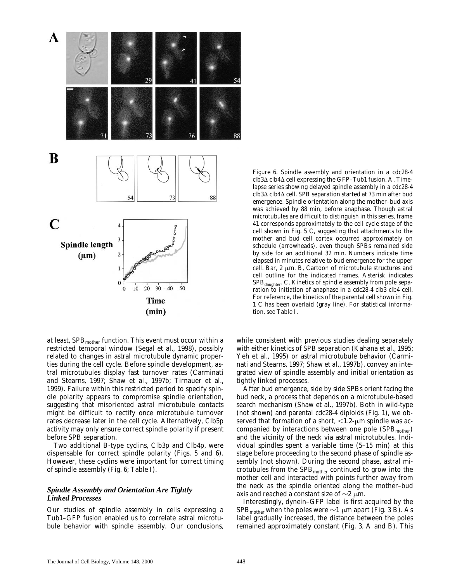

at least,  $SPB<sub>mother</sub>$  function. This event must occur within a restricted temporal window (Segal et al., 1998), possibly related to changes in astral microtubule dynamic properties during the cell cycle. Before spindle development, astral microtubules display fast turnover rates (Carminati and Stearns, 1997; Shaw et al., 1997b; Tirnauer et al., 1999). Failure within this restricted period to specify spindle polarity appears to compromise spindle orientation, suggesting that misoriented astral microtubule contacts might be difficult to rectify once microtubule turnover rates decrease later in the cell cycle. Alternatively, Clb5p activity may only ensure correct spindle polarity if present before SPB separation.

Two additional B-type cyclins, Clb3p and Clb4p, were dispensable for correct spindle polarity (Figs. 5 and 6). However, these cyclins were important for correct timing of spindle assembly (Fig. 6; Table I).

#### *Spindle Assembly and Orientation Are Tightly Linked Processes*

Our studies of spindle assembly in cells expressing a Tub1–GFP fusion enabled us to correlate astral microtubule behavior with spindle assembly. Our conclusions,

*Figure 6.* Spindle assembly and orientation in a *cdc28-4*  $\textit{clb3}\Delta$   $\textit{clb4}\Delta$  cell expressing the GFP–Tub1 fusion. A, Timelapse series showing delayed spindle assembly in a *cdc28-4 clb3*D *clb4*D cell. SPB separation started at 73 min after bud emergence. Spindle orientation along the mother–bud axis was achieved by 88 min, before anaphase. Though astral microtubules are difficult to distinguish in this series, frame 41 corresponds approximately to the cell cycle stage of the cell shown in Fig. 5 C, suggesting that attachments to the mother and bud cell cortex occurred approximately on schedule (arrowheads), even though SPBs remained side by side for an additional 32 min. Numbers indicate time elapsed in minutes relative to bud emergence for the upper cell. Bar,  $2 \mu m$ . B, Cartoon of microtubule structures and cell outline for the indicated frames. Asterisk indicates  $SPB_{dauge}$ . C, Kinetics of spindle assembly from pole separation to initiation of anaphase in a *cdc28-4 clb3 clb4* cell. For reference, the kinetics of the parental cell shown in Fig. 1 C has been overlaid (gray line). For statistical information, see Table I.

while consistent with previous studies dealing separately with either kinetics of SPB separation (Kahana et al., 1995; Yeh et al., 1995) or astral microtubule behavior (Carminati and Stearns, 1997; Shaw et al., 1997b), convey an integrated view of spindle assembly and initial orientation as tightly linked processes.

After bud emergence, side by side SPBs orient facing the bud neck, a process that depends on a microtubule-based search mechanism (Shaw et al., 1997b). Both in wild-type (not shown) and parental *cdc28-4* diploids (Fig. 1), we observed that formation of a short,  $\langle 1.2 \text{--} \mu \text{m}$  spindle was accompanied by interactions between one pole  $(SPB<sub>mother</sub>)$ and the vicinity of the neck via astral microtubules. Individual spindles spent a variable time (5–15 min) at this stage before proceeding to the second phase of spindle assembly (not shown). During the second phase, astral microtubules from the SPB<sub>mother</sub> continued to grow into the mother cell and interacted with points further away from the neck as the spindle oriented along the mother–bud axis and reached a constant size of  $\sim$ 2  $\mu$ m.

Interestingly, dynein–GFP label is first acquired by the SPB<sub>mother</sub> when the poles were  $\sim$ 1  $\mu$ m apart (Fig. 3 B). As label gradually increased, the distance between the poles remained approximately constant (Fig. 3, A and B). This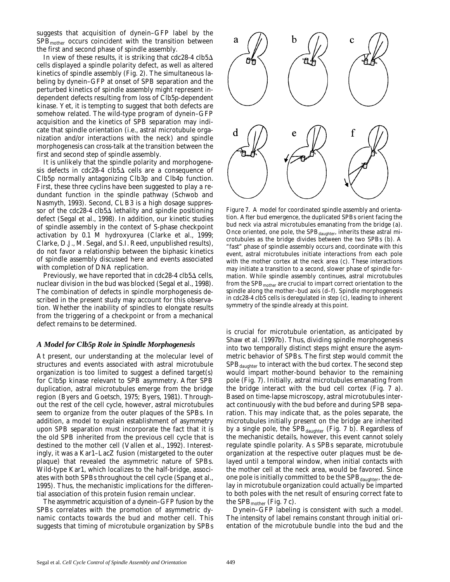suggests that acquisition of dynein–GFP label by the  $SPB<sub>mother</sub>$  occurs coincident with the transition between the first and second phase of spindle assembly.

In view of these results, it is striking that  $cdc28-4$   $clb5\Delta$ cells displayed a spindle polarity defect, as well as altered kinetics of spindle assembly (Fig. 2). The simultaneous labeling by dynein–GFP at onset of SPB separation and the perturbed kinetics of spindle assembly might represent independent defects resulting from loss of Clb5p-dependent kinase. Yet, it is tempting to suggest that both defects are somehow related. The wild-type program of dynein–GFP acquisition and the kinetics of SPB separation may indicate that spindle orientation (i.e., astral microtubule organization and/or interactions with the neck) and spindle morphogenesis can cross-talk at the transition between the first and second step of spindle assembly.

It is unlikely that the spindle polarity and morphogenesis defects in *cdc28-4 clb5* $\Delta$  cells are a consequence of Clb5p normally antagonizing Clb3p and Clb4p function. First, these three cyclins have been suggested to play a redundant function in the spindle pathway (Schwob and Nasmyth, 1993). Second, *CLB3* is a high dosage suppressor of the *cdc28-4 clb5* $\Delta$  lethality and spindle positioning defect (Segal et al., 1998). In addition, our kinetic studies of spindle assembly in the context of S-phase checkpoint activation by 0.1 M hydroxyurea (Clarke et al., 1999; Clarke, D.J., M. Segal, and S.I. Reed, unpublished results), do not favor a relationship between the biphasic kinetics of spindle assembly discussed here and events associated with completion of DNA replication.

Previously, we have reported that in *cdc28-4 clb5* $\triangle$  cells, nuclear division in the bud was blocked (Segal et al., 1998). The combination of defects in spindle morphogenesis described in the present study may account for this observation. Whether the inability of spindles to elongate results from the triggering of a checkpoint or from a mechanical defect remains to be determined.

#### *A Model for Clb5p Role in Spindle Morphogenesis*

At present, our understanding at the molecular level of structures and events associated with astral microtubule organization is too limited to suggest a defined target(s) for Clb5p kinase relevant to SPB asymmetry. After SPB duplication, astral microtubules emerge from the bridge region (Byers and Goetsch, 1975; Byers, 1981). Throughout the rest of the cell cycle, however, astral microtubules seem to organize from the outer plaques of the SPBs. In addition, a model to explain establishment of asymmetry upon SPB separation must incorporate the fact that it is the old SPB inherited from the previous cell cycle that is destined to the mother cell (Vallen et al., 1992). Interestingly, it was a Kar1–LacZ fusion (mistargeted to the outer plaque) that revealed the asymmetric nature of SPBs. Wild-type Kar1, which localizes to the half-bridge, associates with both SPBs throughout the cell cycle (Spang et al., 1995). Thus, the mechanistic implications for the differential association of this protein fusion remain unclear.

The asymmetric acquisition of a dynein–GFP fusion by the SPBs correlates with the promotion of asymmetric dynamic contacts towards the bud and mother cell. This suggests that timing of microtubule organization by SPBs



*Figure 7.* A model for coordinated spindle assembly and orientation. After bud emergence, the duplicated SPBs orient facing the bud neck via astral microtubules emanating from the bridge (a). Once oriented, one pole, the  $SPB_{\text{daughter}}$ , inherits these astral microtubules as the bridge divides between the two SPBs (b). A "fast" phase of spindle assembly occurs and, coordinate with this event, astral microtubules initiate interactions from each pole with the mother cortex at the neck area (c). These interactions may initiate a transition to a second, slower phase of spindle formation. While spindle assembly continues, astral microtubules from the  $SPB<sub>mother</sub>$  are crucial to impart correct orientation to the spindle along the mother–bud axis (d–f). Spindle morphogenesis in *cdc28-4 clb5* cells is deregulated in step (c), leading to inherent symmetry of the spindle already at this point.

is crucial for microtubule orientation, as anticipated by Shaw et al. (1997b). Thus, dividing spindle morphogenesis into two temporally distinct steps might ensure the asymmetric behavior of SPBs. The first step would commit the  $SPB_{dauge}$  to interact with the bud cortex. The second step would impart mother-bound behavior to the remaining pole (Fig. 7). Initially, astral microtubules emanating from the bridge interact with the bud cell cortex (Fig. 7 a). Based on time-lapse microscopy, astral microtubules interact continuously with the bud before and during SPB separation. This may indicate that, as the poles separate, the microtubules initially present on the bridge are inherited by a single pole, the SPB<sub>daughter</sub> (Fig. 7 b). Regardless of the mechanistic details, however, this event cannot solely regulate spindle polarity. As SPBs separate, microtubule organization at the respective outer plaques must be delayed until a temporal window, when initial contacts with the mother cell at the neck area, would be favored. Since one pole is initially committed to be the SPB<sub>daughter</sub>, the delay in microtubule organization could actually be imparted to both poles with the net result of ensuring correct fate to the  $SPB<sub>mother</sub>$  (Fig. 7 c).

Dynein–GFP labeling is consistent with such a model. The intensity of label remains constant through initial orientation of the microtubule bundle into the bud and the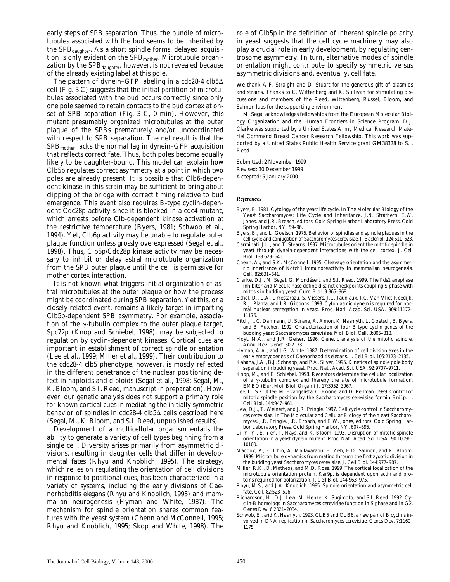early steps of SPB separation. Thus, the bundle of microtubules associated with the bud seems to be inherited by the  $SPB_{doubter}$ . As a short spindle forms, delayed acquisition is only evident on the SPB<sub>mother</sub>. Microtubule organization by the  $SPB_{daughter}$ , however, is not revealed because of the already existing label at this pole.

The pattern of dynein–GFP labeling in a *cdc28-4 clb5*D cell (Fig. 3 C) suggests that the initial partition of microtubules associated with the bud occurs correctly since only one pole seemed to retain contacts to the bud cortex at onset of SPB separation (Fig. 3 C, 0 min). However, this mutant presumably organized microtubules at the outer plaque of the SPBs prematurely and/or uncoordinated with respect to SPB separation. The net result is that the  $SPB_{\text{mother}}$  lacks the normal lag in dynein–GFP acquisition that reflects correct fate. Thus, both poles become equally likely to be daughter-bound. This model can explain how Clb5p regulates correct asymmetry at a point in which two poles are already present. It is possible that Clb6-dependent kinase in this strain may be sufficient to bring about clipping of the bridge with correct timing relative to bud emergence. This event also requires B-type cyclin-dependent Cdc28p activity since it is blocked in a *cdc4* mutant, which arrests before Clb-dependent kinase activation at the restrictive temperature (Byers, 1981; Schwob et al., 1994). Yet, Clb6p activity may be unable to regulate outer plaque function unless grossly overexpressed (Segal et al., 1998). Thus, Clb5p/Cdc28p kinase activity may be necessary to inhibit or delay astral microtubule organization from the SPB outer plaque until the cell is permissive for mother cortex interaction.

It is not known what triggers initial organization of astral microtubules at the outer plaque or how the process might be coordinated during SPB separation. Yet this, or a closely related event, remains a likely target in imparting Clb5p-dependent SPB asymmetry. For example, association of the  $\gamma$ -tubulin complex to the outer plaque target, Spc72p (Knop and Schiebel, 1998), may be subjected to regulation by cyclin-dependent kinases. Cortical cues are important in establishment of correct spindle orientation (Lee et al., 1999; Miller et al., 1999). Their contribution to the *cdc28-4 clb5* phenotype, however, is mostly reflected in the different penetrance of the nuclear positioning defect in haploids and diploids (Segal et al., 1998; Segal, M., K. Bloom, and S.I. Reed, manuscript in preparation). However, our genetic analysis does not support a primary role for known cortical cues in mediating the initially symmetric behavior of spindles in *cdc28-4 clb5*D cells described here (Segal, M., K. Bloom, and S.I. Reed, unpublished results).

Development of a multicellular organism entails the ability to generate a variety of cell types beginning from a single cell. Diversity arises primarily from asymmetric divisions, resulting in daughter cells that differ in developmental fates (Rhyu and Knoblich, 1995). The strategy, which relies on regulating the orientation of cell divisions in response to positional cues, has been characterized in a variety of systems, including the early divisions of *Caenorhabditis elegans* (Rhyu and Knoblich, 1995) and mammalian neurogenesis (Hyman and White, 1987). The mechanism for spindle orientation shares common features with the yeast system (Chenn and McConnell, 1995; Rhyu and Knoblich, 1995; Skop and White, 1998). The

role of Clb5p in the definition of inherent spindle polarity in yeast suggests that the cell cycle machinery may also play a crucial role in early development, by regulating centrosome asymmetry. In turn, alternative modes of spindle orientation might contribute to specify symmetric versus asymmetric divisions and, eventually, cell fate.

We thank A.F. Straight and D. Stuart for the generous gift of plasmids and strains. Thanks to C. Wittenberg and K. Sullivan for stimulating discussions and members of the Reed, Wittenberg, Russel, Bloom, and Salmon labs for the supporting environment.

M. Segal acknowledges fellowships from the European Molecular Biology Organization and the Human Frontiers in Science Program. D.J. Clarke was supported by a United States Army Medical Research Materiel Command Breast Cancer Research Fellowship. This work was supported by a United States Public Health Service grant GM38328 to S.I. Reed.

Submitted: 2 November 1999 Revised: 30 December 1999 Accepted: 5 January 2000

#### *References*

- Byers, B. 1981. Cytology of the yeast life cycle. *In* The Molecular Biology of the Yeast *Saccharomyces*: Life Cycle and Inheritance. J.N. Strathern, E.W. Jones, and J.R. Broach, editors. Cold Spring Harbor Laboratory Press, Cold Spring Harbor, NY. 59–96.
- Byers, B., and L. Goetsch. 1975. Behavior of spindles and spindle plaques in the cell cycle and conjugation of *Saccharomyces cerevisiae*. *J. Bacteriol.* 124:511–523.
- Carminati, J.L., and T. Stearns. 1997. Microtubules orient the mitotic spindle in yeast through dynein-dependent interactions with the cell cortex. *J. Cell Biol.* 138:629–641.
- Chenn, A., and S.K. McConnell. 1995. Cleavage orientation and the asymmetric inheritance of Notch1 immunoreactivity in mammalian neurogenesis. *Cell.* 82:631–641.
- Clarke, D.J., M. Segal, G. Mondésert, and S.I. Reed. 1999. The Pds1 anaphase inhibitor and Mec1 kinase define distinct checkpoints coupling S phase with mitosis in budding yeast. *Curr. Biol.* 9:365–368.
- Eshel, D., L.A. Urrestarazu, S. Vissers, J.C. Jauniaux, J.C. Van Vliet-Reedijk, R.J. Planta, and I.R. Gibbons. 1993. Cytoplasmic dynein is required for normal nuclear segregation in yeast. *Proc. Natl. Acad. Sci. USA.* 909:11172– 11176.
- Fitch, I., C. Dahmann, U. Surana, A. Amon, K. Nasmyth, L. Goetsch, B. Byers, and B. Futcher. 1992. Characterization of four B-type cyclin genes of the budding yeast *Saccharomyces cerevisiae*. *Mol. Biol. Cell.* 3:805–818.
- Hoyt, M.A., and J.R. Geiser. 1996. Genetic analysis of the mitotic spindle. *Annu. Rev. Genet.* 30:7–33.
- Hyman, A.A., and J.G. White. 1987. Determination of cell division axes in the early embryogenesis of *Caenorhabditis elegans*. *J. Cell Biol.* 105:2123–2135.
- Kahana, J.A., B.J. Schnapp, and P.A. Silver. 1995. Kinetics of spindle pole body separation in budding yeast. *Proc. Natl. Acad. Sci. USA.* 92:9707–9711.
- Knop, M., and E. Schiebel. 1998. Receptors determine the cellular localization of a  $\gamma$ -tubulin complex and thereby the site of microtubule formation. *EMBO (Eur. Mol. Biol. Organ.) J*. 17:3952–3967.
- Lee, L., S.K. Klee, M. Evangelista, C. Boone, and D. Pellman. 1999. Control of mitotic spindle position by the *Saccharomyces cerevisiae* formin Bni1p. *J. Cell Biol.* 144:947–961.
- Lew, D.J., T. Weinert, and J.R. Pringle. 1997. Cell cycle control in *Saccharomyces cerevisiae*. *In* The Molecular and Cellular Biology of the Yeast *Saccharomyces*. J.R. Pringle, J.R. Broach, and E.W. Jones, editors. Cold Spring Harbor Laboratory Press, Cold Spring Harbor, NY. 607-695.
- Li, Y.-Y., E. Yeh, T. Hays, and K. Bloom. 1993. Disruption of mitotic spindle orientation in a yeast dynein mutant. *Proc. Natl. Acad. Sci. USA.* 90:10096– 10100.
- Maddox, P., E. Chin, A. Mallavarapu, E. Yeh, E.D. Salmon, and K. Bloom. 1999. Microtubule dynamics from mating through the first zygotic division in the budding yeast *Saccharomyces cerevisiae*. *J. Cell Biol.* 144:977–987.
- Miller, R.K., D. Matheos, and M.D. Rose. 1999. The cortical localization of the microtubule orientation protein, Kar9p, is dependent upon actin and proteins required for polarization. *J. Cell Biol*. 144:963–975.
- Rhyu, M.S., and J.A. Knoblich. 1995. Spindle orientation and asymmetric cell fate. *Cell.* 82:523–526.
- Richardson, H., D.J. Lew, M. Henze, K. Sugimoto, and S.I. Reed. 1992. Cyclin-B homologs in *Saccharomyces cerevisiae* function in S phase and in G2. *Genes Dev*. 6:2021–2034.
- Schwob, E., and K. Nasmyth. 1993. *CLB5* and *CLB6*, a new pair of B cyclins involved in DNA replication in *Saccharomyces cerevisiae*. *Genes Dev.* 7:1160– 1175.